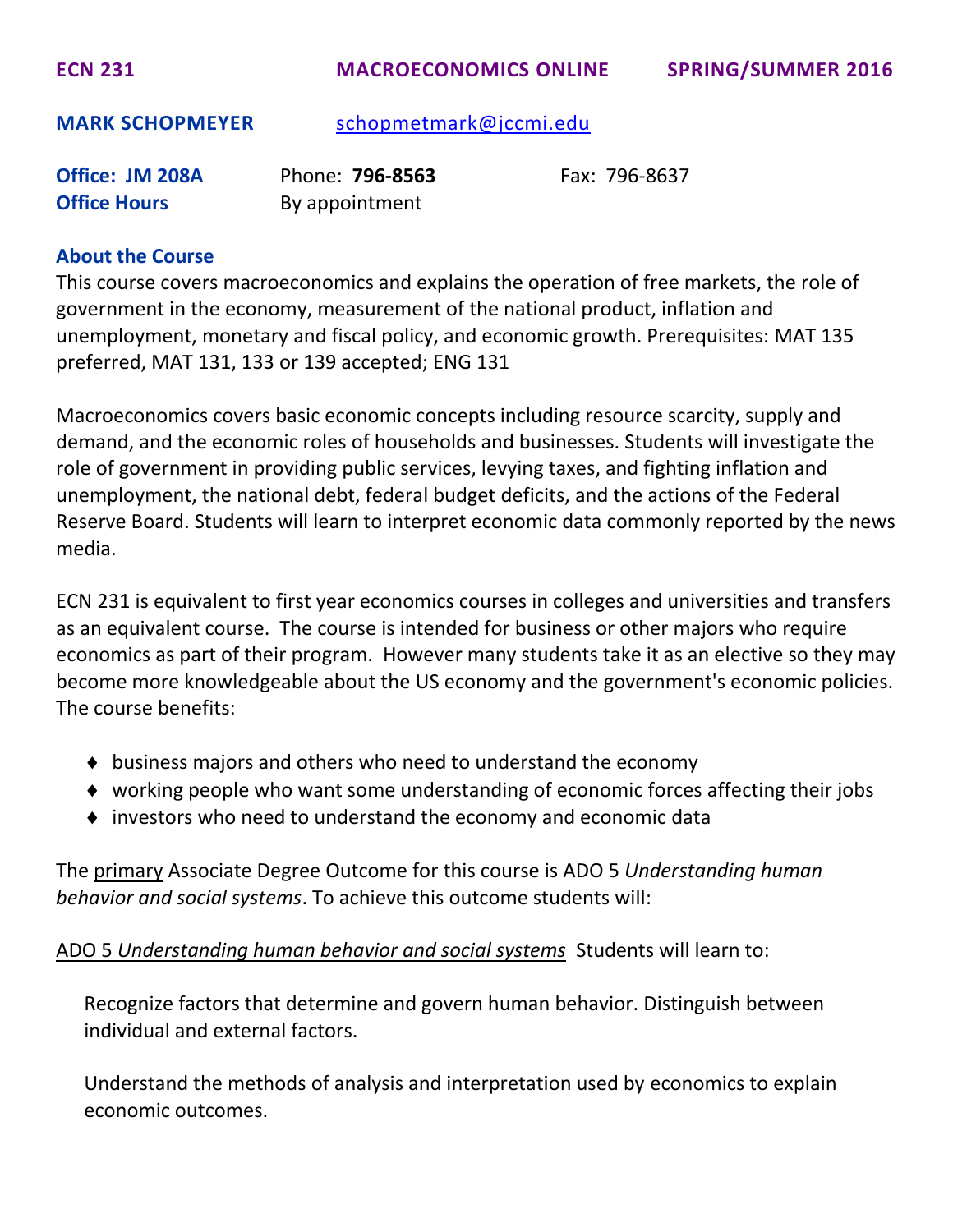**ECN 231 MACROECONOMICS ONLINE SPRING/SUMMER 2016**

**MARK SCHOPMEYER** [schopmetmark@jccmi.edu](mailto:schopmetmark@jccmi.edu)

| Office: JM 208A     | Phone: <b>796-8563</b> | Fax: 796-8637 |
|---------------------|------------------------|---------------|
| <b>Office Hours</b> | By appointment         |               |

#### **About the Course**

This course covers macroeconomics and explains the operation of free markets, the role of government in the economy, measurement of the national product, inflation and unemployment, monetary and fiscal policy, and economic growth. Prerequisites: MAT 135 preferred, MAT 131, 133 or 139 accepted; ENG 131

Macroeconomics covers basic economic concepts including resource scarcity, supply and demand, and the economic roles of households and businesses. Students will investigate the role of government in providing public services, levying taxes, and fighting inflation and unemployment, the national debt, federal budget deficits, and the actions of the Federal Reserve Board. Students will learn to interpret economic data commonly reported by the news media.

ECN 231 is equivalent to first year economics courses in colleges and universities and transfers as an equivalent course. The course is intended for business or other majors who require economics as part of their program. However many students take it as an elective so they may become more knowledgeable about the US economy and the government's economic policies. The course benefits:

- $\bullet$  business majors and others who need to understand the economy
- working people who want some understanding of economic forces affecting their jobs
- investors who need to understand the economy and economic data

The primary Associate Degree Outcome for this course is ADO 5 *Understanding human behavior and social systems*. To achieve this outcome students will:

ADO 5 *Understanding human behavior and social systems* Students will learn to:

Recognize factors that determine and govern human behavior. Distinguish between individual and external factors.

Understand the methods of analysis and interpretation used by economics to explain economic outcomes.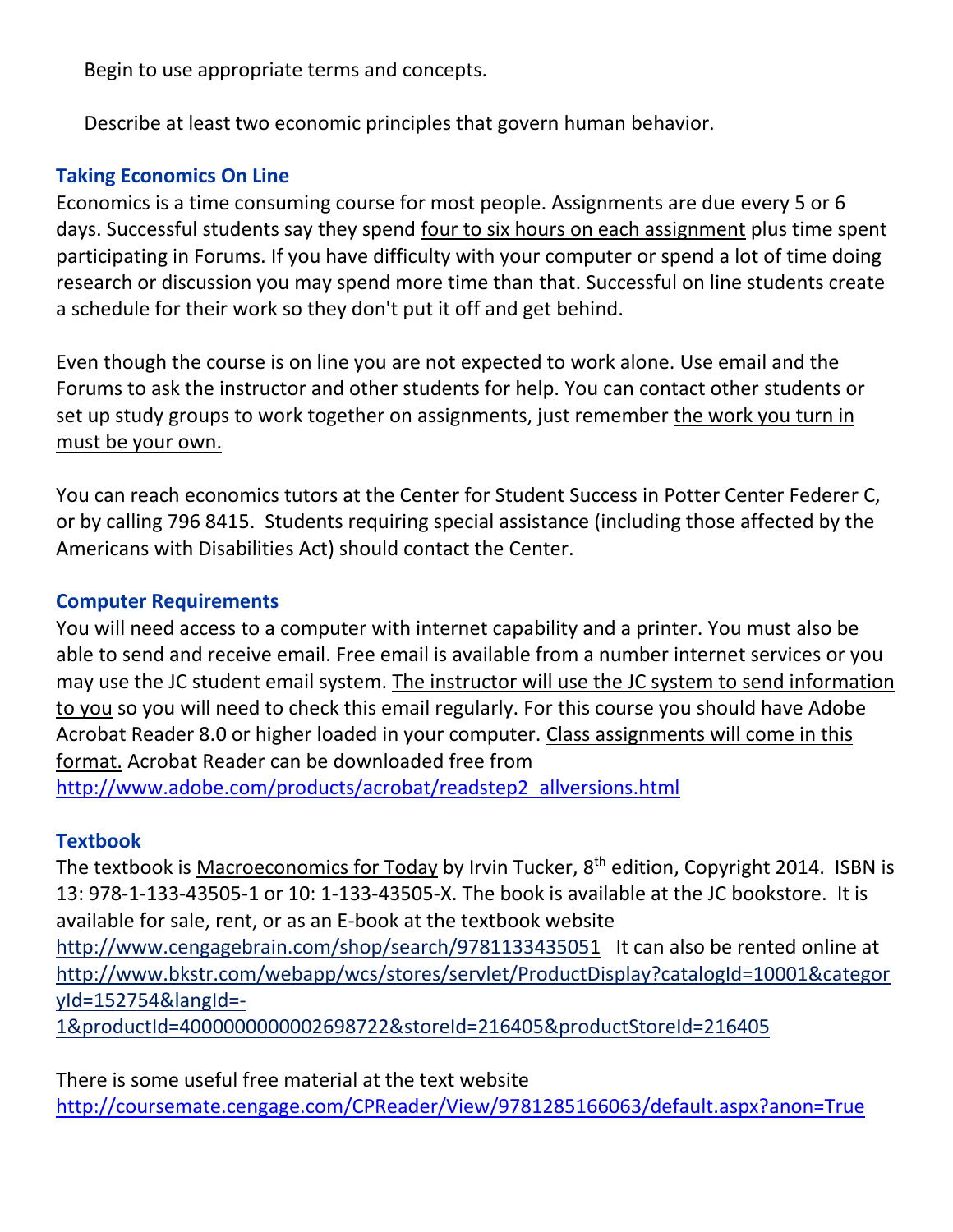Begin to use appropriate terms and concepts.

Describe at least two economic principles that govern human behavior.

# **Taking Economics On Line**

Economics is a time consuming course for most people. Assignments are due every 5 or 6 days. Successful students say they spend four to six hours on each assignment plus time spent participating in Forums. If you have difficulty with your computer or spend a lot of time doing research or discussion you may spend more time than that. Successful on line students create a schedule for their work so they don't put it off and get behind.

Even though the course is on line you are not expected to work alone. Use email and the Forums to ask the instructor and other students for help. You can contact other students or set up study groups to work together on assignments, just remember the work you turn in must be your own.

You can reach economics tutors at the Center for Student Success in Potter Center Federer C, or by calling 796 8415. Students requiring special assistance (including those affected by the Americans with Disabilities Act) should contact the Center.

## **Computer Requirements**

You will need access to a computer with internet capability and a printer. You must also be able to send and receive email. Free email is available from a number internet services or you may use the JC student email system. The instructor will use the JC system to send information to you so you will need to check this email regularly. For this course you should have Adobe Acrobat Reader 8.0 or higher loaded in your computer. Class assignments will come in this format. Acrobat Reader can be downloaded free from [http://www.adobe.com/products/acrobat/readstep2\\_allversions.html](http://www.adobe.com/products/acrobat/readstep2_allversions.html)

## **Textbook**

The textbook is <u>Macroeconomics for Today</u> by Irvin Tucker, 8<sup>th</sup> edition, Copyright 2014. ISBN is 13: 978-1-133-43505-1 or 10: 1-133-43505-X. The book is available at the JC bookstore. It is available for sale, rent, or as an E-book at the textbook website

<http://www.cengagebrain.com/shop/search/9781133435051> It can also be rented online at [http://www.bkstr.com/webapp/wcs/stores/servlet/ProductDisplay?catalogId=10001&categor](http://www.bkstr.com/webapp/wcs/stores/servlet/ProductDisplay?catalogId=10001&categoryId=152754&langId=-1&productId=4000000000002698722&storeId=216405&productStoreId=216405) [yId=152754&langId=-](http://www.bkstr.com/webapp/wcs/stores/servlet/ProductDisplay?catalogId=10001&categoryId=152754&langId=-1&productId=4000000000002698722&storeId=216405&productStoreId=216405)

[1&productId=4000000000002698722&storeId=216405&productStoreId=216405](http://www.bkstr.com/webapp/wcs/stores/servlet/ProductDisplay?catalogId=10001&categoryId=152754&langId=-1&productId=4000000000002698722&storeId=216405&productStoreId=216405)

There is some useful free material at the text website <http://coursemate.cengage.com/CPReader/View/9781285166063/default.aspx?anon=True>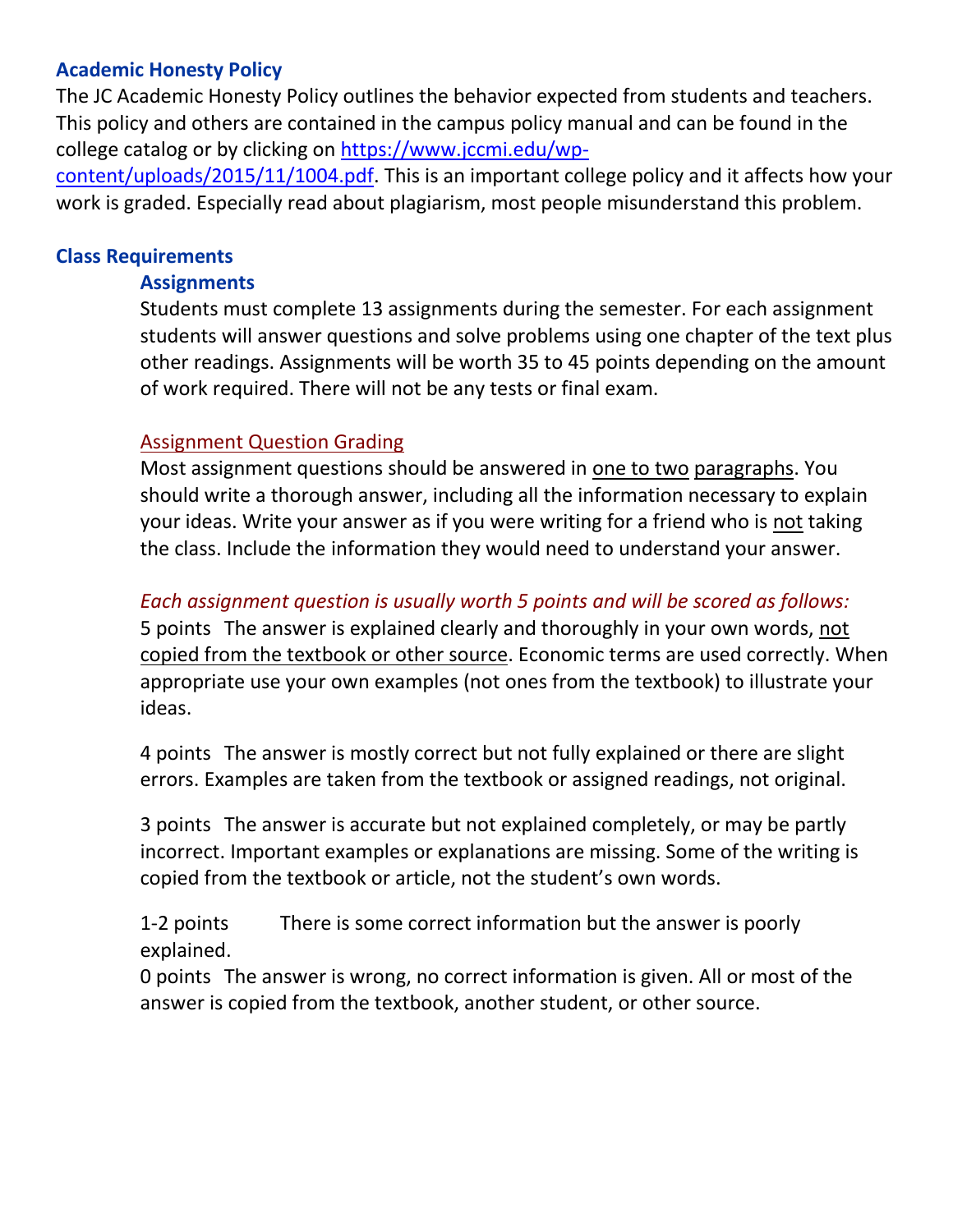### **Academic Honesty Policy**

The JC Academic Honesty Policy outlines the behavior expected from students and teachers. This policy and others are contained in the campus policy manual and can be found in the college catalog or by clicking on [https://www.jccmi.edu/wp-](https://www.jccmi.edu/wp-content/uploads/2015/11/1004.pdf)

[content/uploads/2015/11/1004.pdf.](https://www.jccmi.edu/wp-content/uploads/2015/11/1004.pdf) This is an important college policy and it affects how your work is graded. Especially read about plagiarism, most people misunderstand this problem.

### **Class Requirements**

#### **Assignments**

Students must complete 13 assignments during the semester. For each assignment students will answer questions and solve problems using one chapter of the text plus other readings. Assignments will be worth 35 to 45 points depending on the amount of work required. There will not be any tests or final exam.

### Assignment Question Grading

Most assignment questions should be answered in one to two paragraphs. You should write a thorough answer, including all the information necessary to explain your ideas. Write your answer as if you were writing for a friend who is not taking the class. Include the information they would need to understand your answer.

## *Each assignment question is usually worth 5 points and will be scored as follows:*

5 points The answer is explained clearly and thoroughly in your own words, not copied from the textbook or other source. Economic terms are used correctly. When appropriate use your own examples (not ones from the textbook) to illustrate your ideas.

4 points The answer is mostly correct but not fully explained or there are slight errors. Examples are taken from the textbook or assigned readings, not original.

3 points The answer is accurate but not explained completely, or may be partly incorrect. Important examples or explanations are missing. Some of the writing is copied from the textbook or article, not the student's own words.

1-2 points There is some correct information but the answer is poorly explained.

0 points The answer is wrong, no correct information is given. All or most of the answer is copied from the textbook, another student, or other source.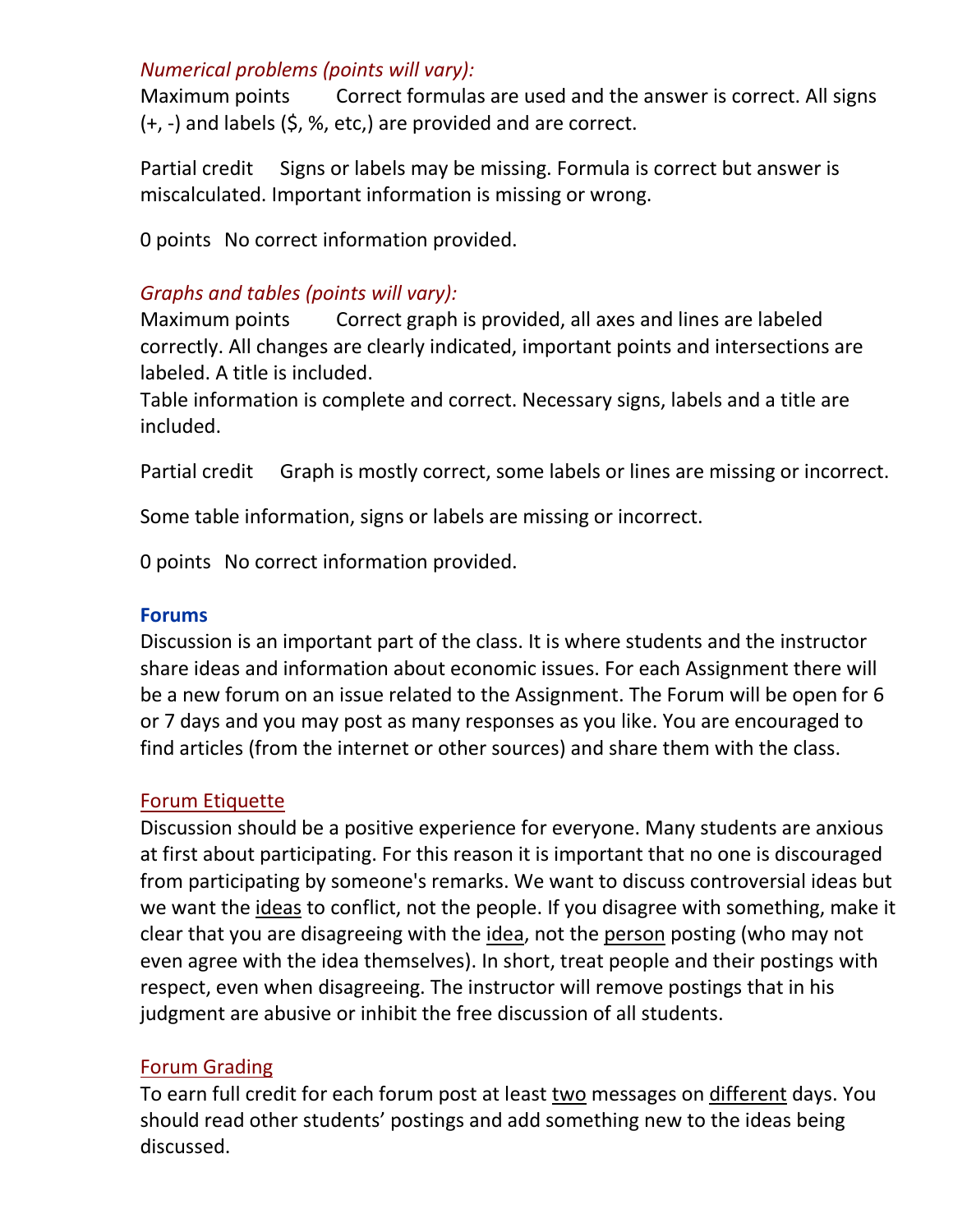### *Numerical problems (points will vary):*

Maximum points Correct formulas are used and the answer is correct. All signs (+, -) and labels (\$, %, etc,) are provided and are correct.

Partial credit Signs or labels may be missing. Formula is correct but answer is miscalculated. Important information is missing or wrong.

0 points No correct information provided.

## *Graphs and tables (points will vary):*

Maximum points Correct graph is provided, all axes and lines are labeled correctly. All changes are clearly indicated, important points and intersections are labeled. A title is included.

Table information is complete and correct. Necessary signs, labels and a title are included.

Partial credit Graph is mostly correct, some labels or lines are missing or incorrect.

Some table information, signs or labels are missing or incorrect.

0 points No correct information provided.

### **Forums**

Discussion is an important part of the class. It is where students and the instructor share ideas and information about economic issues. For each Assignment there will be a new forum on an issue related to the Assignment. The Forum will be open for 6 or 7 days and you may post as many responses as you like. You are encouraged to find articles (from the internet or other sources) and share them with the class.

### Forum Etiquette

Discussion should be a positive experience for everyone. Many students are anxious at first about participating. For this reason it is important that no one is discouraged from participating by someone's remarks. We want to discuss controversial ideas but we want the ideas to conflict, not the people. If you disagree with something, make it clear that you are disagreeing with the idea, not the person posting (who may not even agree with the idea themselves). In short, treat people and their postings with respect, even when disagreeing. The instructor will remove postings that in his judgment are abusive or inhibit the free discussion of all students.

### Forum Grading

To earn full credit for each forum post at least two messages on different days. You should read other students' postings and add something new to the ideas being discussed.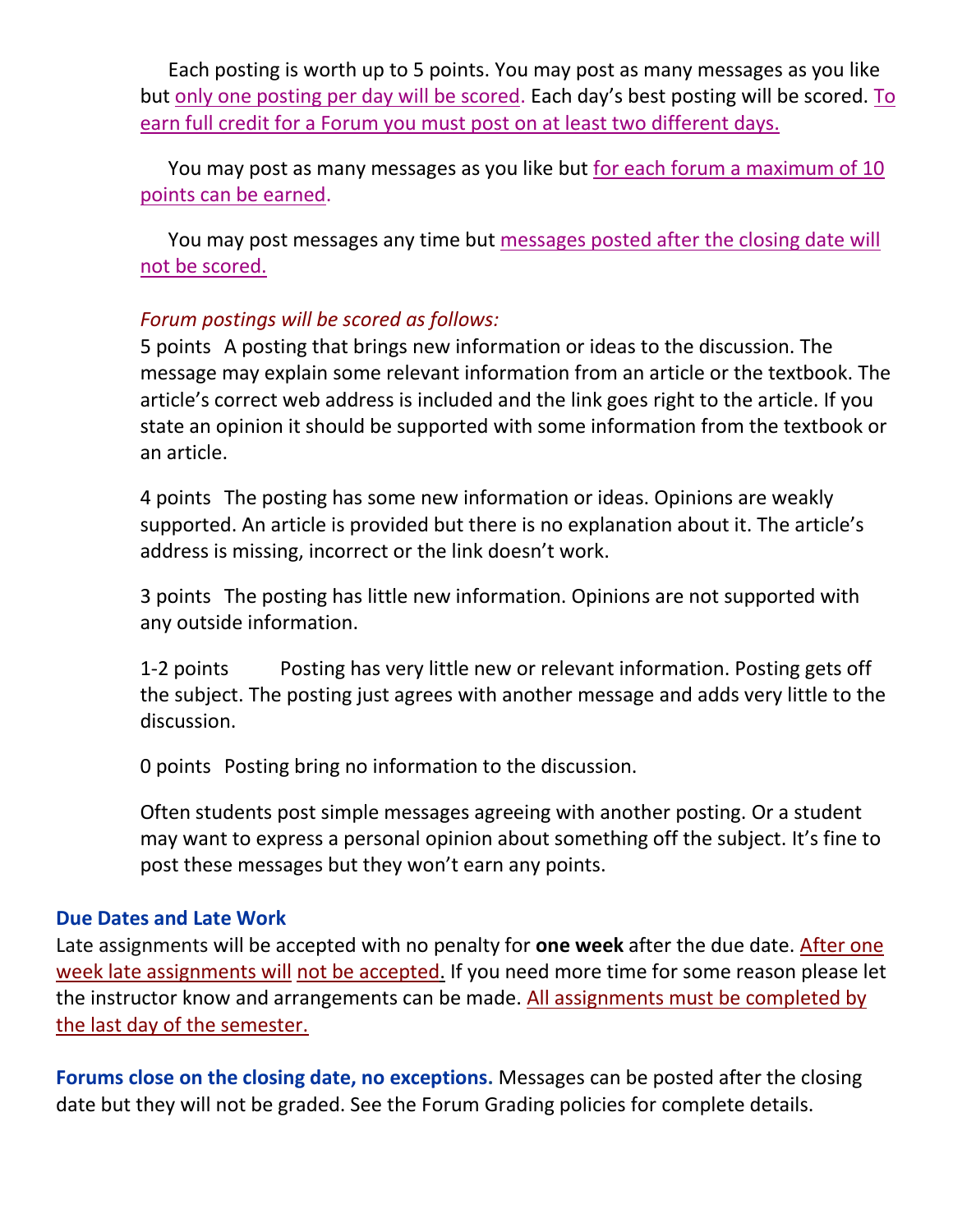Each posting is worth up to 5 points. You may post as many messages as you like but only one posting per day will be scored. Each day's best posting will be scored. To earn full credit for a Forum you must post on at least two different days.

You may post as many messages as you like but for each forum a maximum of 10 points can be earned.

You may post messages any time but messages posted after the closing date will not be scored.

## *Forum postings will be scored as follows:*

5 points A posting that brings new information or ideas to the discussion. The message may explain some relevant information from an article or the textbook. The article's correct web address is included and the link goes right to the article. If you state an opinion it should be supported with some information from the textbook or an article.

4 points The posting has some new information or ideas. Opinions are weakly supported. An article is provided but there is no explanation about it. The article's address is missing, incorrect or the link doesn't work.

3 points The posting has little new information. Opinions are not supported with any outside information.

1-2 points Posting has very little new or relevant information. Posting gets off the subject. The posting just agrees with another message and adds very little to the discussion.

0 points Posting bring no information to the discussion.

Often students post simple messages agreeing with another posting. Or a student may want to express a personal opinion about something off the subject. It's fine to post these messages but they won't earn any points.

### **Due Dates and Late Work**

Late assignments will be accepted with no penalty for **one week** after the due date. After one week late assignments will not be accepted. If you need more time for some reason please let the instructor know and arrangements can be made. All assignments must be completed by the last day of the semester.

**Forums close on the closing date, no exceptions.** Messages can be posted after the closing date but they will not be graded. See the Forum Grading policies for complete details.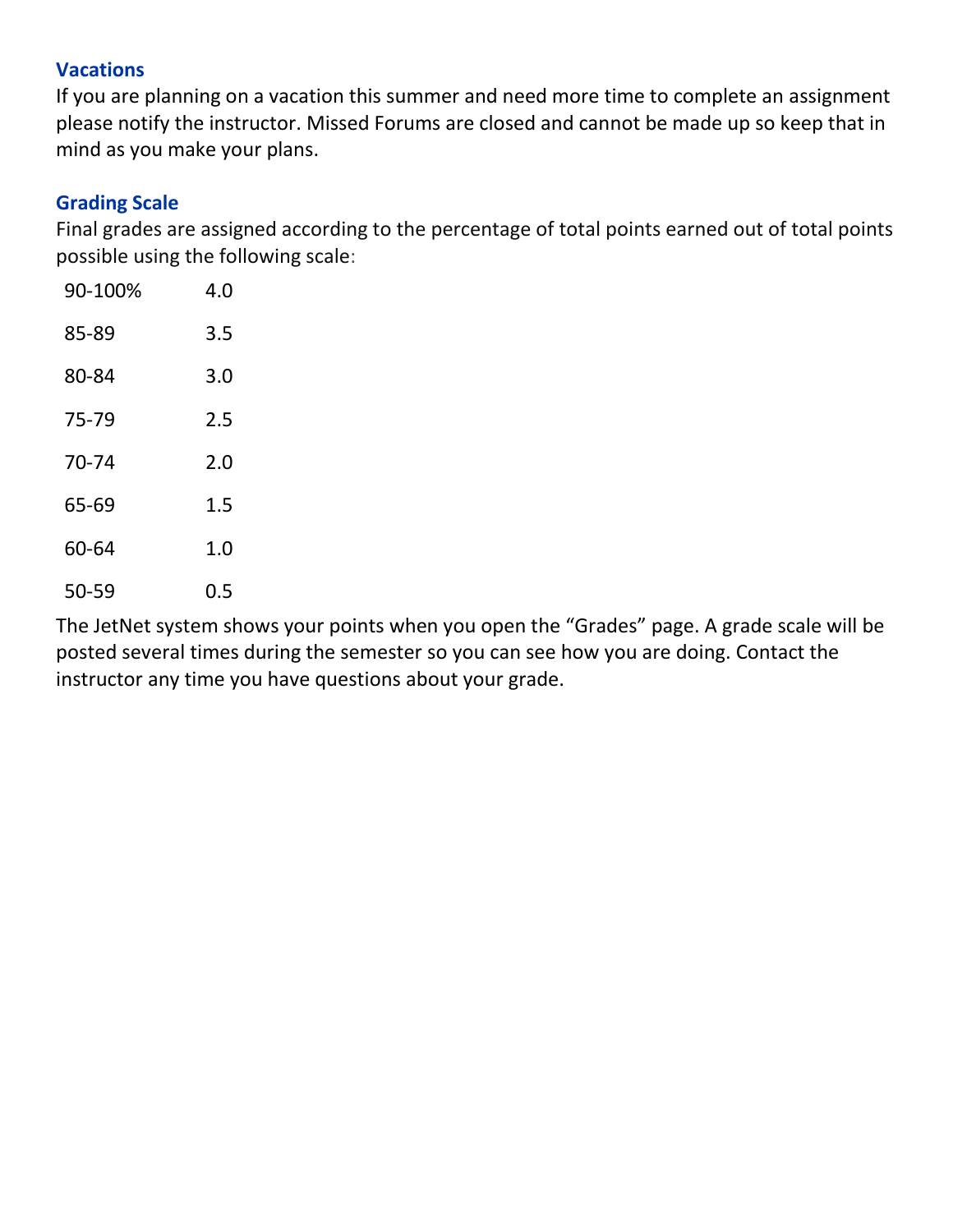### **Vacations**

If you are planning on a vacation this summer and need more time to complete an assignment please notify the instructor. Missed Forums are closed and cannot be made up so keep that in mind as you make your plans.

### **Grading Scale**

Final grades are assigned according to the percentage of total points earned out of total points possible using the following scale:

| 90-100% | 4.0 |
|---------|-----|
| 85-89   | 3.5 |
| 80-84   | 3.0 |
| 75-79   | 2.5 |
| 70-74   | 2.0 |
| 65-69   | 1.5 |
| 60-64   | 1.0 |
| 50-59   | 0.5 |

The JetNet system shows your points when you open the "Grades" page. A grade scale will be posted several times during the semester so you can see how you are doing. Contact the instructor any time you have questions about your grade.